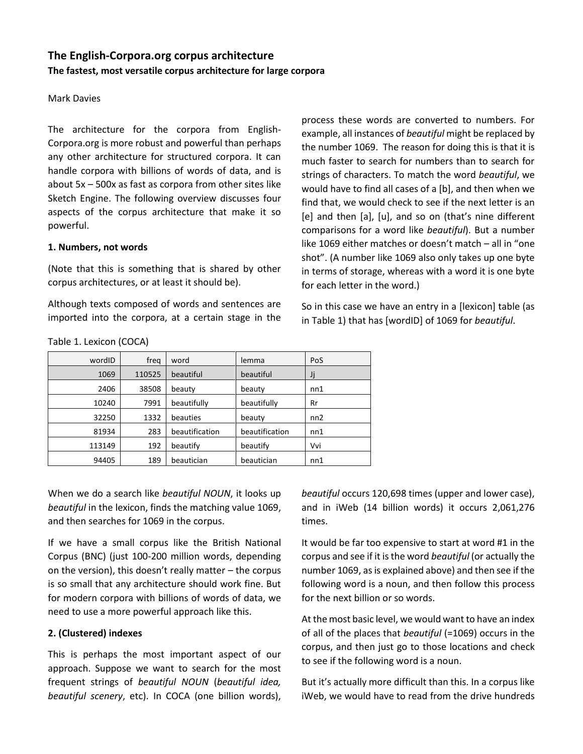# **The English-Corpora.org corpus architecture The fastest, most versatile corpus architecture for large corpora**

## Mark Davies

The architecture for the corpora from English-Corpora.org is more robust and powerful than perhaps any other architecture for structured corpora. It can handle corpora with billions of words of data, and is about 5x – 500x as fast as corpora from other sites like Sketch Engine. The following overview discusses four aspects of the corpus architecture that make it so powerful.

#### **1. Numbers, not words**

Table 1. Lexicon (COCA)

(Note that this is something that is shared by other corpus architectures, or at least it should be).

Although texts composed of words and sentences are imported into the corpora, at a certain stage in the

process these words are converted to numbers. For example, all instances of *beautiful* might be replaced by the number 1069. The reason for doing this is that it is much faster to search for numbers than to search for strings of characters. To match the word *beautiful*, we would have to find all cases of a [b], and then when we find that, we would check to see if the next letter is an [e] and then [a], [u], and so on (that's nine different comparisons for a word like *beautiful*). But a number like 1069 either matches or doesn't match – all in "one shot". (A number like 1069 also only takes up one byte in terms of storage, whereas with a word it is one byte for each letter in the word.)

So in this case we have an entry in a [lexicon] table (as in Table 1) that has [wordID] of 1069 for *beautiful*.

| wordID | freg   | word           | lemma          | PoS |
|--------|--------|----------------|----------------|-----|
| 1069   | 110525 | beautiful      | beautiful      | Jj  |
| 2406   | 38508  | beauty         | beauty         | nn1 |
| 10240  | 7991   | beautifully    | beautifully    | Rr  |
| 32250  | 1332   | beauties       | beauty         | nn2 |
| 81934  | 283    | beautification | beautification | nn1 |
| 113149 | 192    | beautify       | beautify       | Vvi |
| 94405  | 189    | beautician     | beautician     | nn1 |

When we do a search like *beautiful NOUN*, it looks up *beautiful* in the lexicon, finds the matching value 1069, and then searches for 1069 in the corpus.

If we have a small corpus like the British National Corpus (BNC) (just 100-200 million words, depending on the version), this doesn't really matter – the corpus is so small that any architecture should work fine. But for modern corpora with billions of words of data, we need to use a more powerful approach like this.

### **2. (Clustered) indexes**

This is perhaps the most important aspect of our approach. Suppose we want to search for the most frequent strings of *beautiful NOUN* (*beautiful idea, beautiful scenery*, etc). In COCA (one billion words), *beautiful* occurs 120,698 times (upper and lower case), and in iWeb (14 billion words) it occurs 2,061,276 times.

It would be far too expensive to start at word #1 in the corpus and see if it is the word *beautiful* (or actually the number 1069, as is explained above) and then see if the following word is a noun, and then follow this process for the next billion or so words.

At the most basic level, we would want to have an index of all of the places that *beautiful* (=1069) occurs in the corpus, and then just go to those locations and check to see if the following word is a noun.

But it's actually more difficult than this. In a corpus like iWeb, we would have to read from the drive hundreds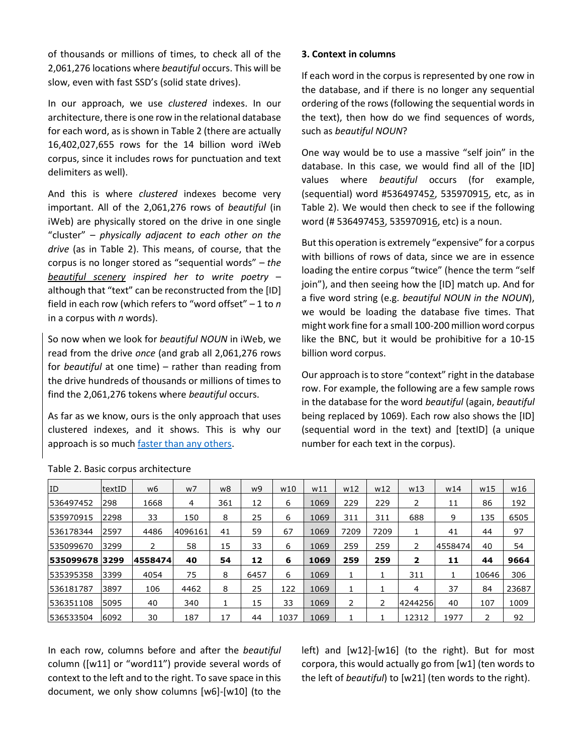of thousands or millions of times, to check all of the 2,061,276 locations where *beautiful* occurs. This will be slow, even with fast SSD's (solid state drives).

In our approach, we use *clustered* indexes. In our architecture, there is one row in the relational database for each word, as is shown in Table 2 (there are actually 16,402,027,655 rows for the 14 billion word iWeb corpus, since it includes rows for punctuation and text delimiters as well).

And this is where *clustered* indexes become very important. All of the 2,061,276 rows of *beautiful* (in iWeb) are physically stored on the drive in one single "cluster" – *physically adjacent to each other on the drive* (as in Table 2). This means, of course, that the corpus is no longer stored as "sequential words" – *the beautiful scenery inspired her to write poetry* – although that "text" can be reconstructed from the [ID] field in each row (which refers to "word offset" – 1 to *n* in a corpus with *n* words).

So now when we look for *beautiful NOUN* in iWeb, we read from the drive *once* (and grab all 2,061,276 rows for *beautiful* at one time) – rather than reading from the drive hundreds of thousands or millions of times to find the 2,061,276 tokens where *beautiful* occurs.

As far as we know, ours is the only approach that uses clustered indexes, and it shows. This is why our approach is so muc[h faster than any others.](https://www.english-corpora.org/speed.asp)

# **3. Context in columns**

If each word in the corpus is represented by one row in the database, and if there is no longer any sequential ordering of the rows (following the sequential words in the text), then how do we find sequences of words, such as *beautiful NOUN*?

One way would be to use a massive "self join" in the database. In this case, we would find all of the [ID] values where *beautiful* occurs (for example, (sequential) word #536497452, 535970915, etc, as in Table 2). We would then check to see if the following word (# 536497453, 535970916, etc) is a noun.

But this operation is extremely "expensive" for a corpus with billions of rows of data, since we are in essence loading the entire corpus "twice" (hence the term "self join"), and then seeing how the [ID] match up. And for a five word string (e.g. *beautiful NOUN in the NOUN*), we would be loading the database five times. That might work fine for a small 100-200 million word corpus like the BNC, but it would be prohibitive for a 10-15 billion word corpus.

Our approach is to store "context" right in the database row. For example, the following are a few sample rows in the database for the word *beautiful* (again, *beautiful* being replaced by 1069). Each row also shows the [ID] (sequential word in the text) and [textID] (a unique number for each text in the corpus).

| ID             | textID | w6      | w7      | w8  | w9   | W10  | w11  | W <sub>12</sub> | w12  | W13                     | w14     | w15   | W16   |
|----------------|--------|---------|---------|-----|------|------|------|-----------------|------|-------------------------|---------|-------|-------|
| 536497452      | 298    | 1668    | 4       | 361 | 12   | 6    | 1069 | 229             | 229  | 2                       | 11      | 86    | 192   |
| 535970915      | 2298   | 33      | 150     | 8   | 25   | 6    | 1069 | 311             | 311  | 688                     | 9       | 135   | 6505  |
| 536178344      | 2597   | 4486    | 4096161 | 41  | 59   | 67   | 1069 | 7209            | 7209 |                         | 41      | 44    | 97    |
| 535099670      | 3299   | 2       | 58      | 15  | 33   | 6    | 1069 | 259             | 259  | 2                       | 4558474 | 40    | 54    |
| 535099678 3299 |        | 4558474 | 40      | 54  | 12   | 6    | 1069 | 259             | 259  | $\overline{\mathbf{z}}$ | 11      | 44    | 9664  |
| 535395358      | 3399   | 4054    | 75      | 8   | 6457 | 6    | 1069 |                 |      | 311                     |         | 10646 | 306   |
| 536181787      | 3897   | 106     | 4462    | 8   | 25   | 122  | 1069 |                 |      | 4                       | 37      | 84    | 23687 |
| 536351108      | 5095   | 40      | 340     |     | 15   | 33   | 1069 | 2               |      | 4244256                 | 40      | 107   | 1009  |
| 536533504      | 6092   | 30      | 187     | 17  | 44   | 1037 | 1069 |                 |      | 12312                   | 1977    | っ     | 92    |

Table 2. Basic corpus architecture

In each row, columns before and after the *beautiful* column ([w11] or "word11") provide several words of context to the left and to the right. To save space in this document, we only show columns [w6]-[w10] (to the left) and [w12]-[w16] (to the right). But for most corpora, this would actually go from [w1] (ten words to the left of *beautiful*) to [w21] (ten words to the right).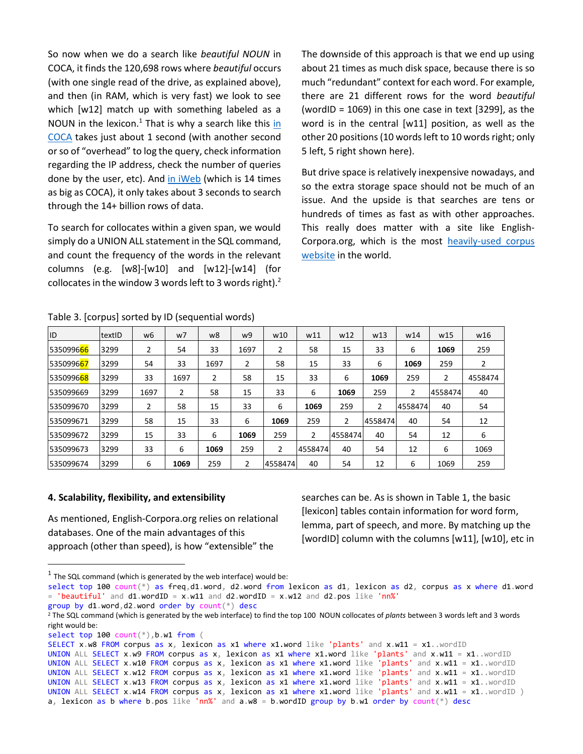So now when we do a search like *beautiful NOUN* in COCA, it finds the 120,698 rows where *beautiful* occurs (with one single read of the drive, as explained above), and then (in RAM, which is very fast) we look to see which [w12] match up with something labeled as a NOUN [in](https://www.english-corpora.org/coca/?c=coca&q=106204953) the lexicon. $1$  That is why a search like this in [COCA](https://www.english-corpora.org/coca/?c=coca&q=106204953) takes just about 1 second (with another second or so of "overhead" to log the query, check information regarding the IP address, check the number of queries done by the user, etc). And [in iWeb](https://www.english-corpora.org/iweb/?c=iweb&q=106204991) (which is 14 times as big as COCA), it only takes about 3 seconds to search through the 14+ billion rows of data.

To search for collocates within a given span, we would simply do a UNION ALL statement in the SQL command, and count the frequency of the words in the relevant columns (e.g. [w8]-[w10] and [w12]-[w14] (for collocates in the window 3 words left to 3 words right). $2$  The downside of this approach is that we end up using about 21 times as much disk space, because there is so much "redundant" context for each word. For example, there are 21 different rows for the word *beautiful* (wordID =  $1069$ ) in this one case in text [3299], as the word is in the central [w11] position, as well as the other 20 positions (10 words left to 10 words right; only 5 left, 5 right shown here).

But drive space is relatively inexpensive nowadays, and so the extra storage space should not be much of an issue. And the upside is that searches are tens or hundreds of times as fast as with other approaches. This really does matter with a site like English-Corpora.org, which is the most [heavily-used corpus](https://www.english-corpora.org/users.asp)  [website](https://www.english-corpora.org/users.asp) in the world.

Table 3. [corpus] sorted by ID (sequential words)

| ID                      | textID | w6   | w7   | w8   | w9   | w10     | W11     | W <sub>12</sub> | W <sub>13</sub> | w14            | W <sub>15</sub> | w16            |
|-------------------------|--------|------|------|------|------|---------|---------|-----------------|-----------------|----------------|-----------------|----------------|
| 535099666               | 3299   | 2    | 54   | 33   | 1697 | 2       | 58      | 15              | 33              | 6              | 1069            | 259            |
| 535099667               | 3299   | 54   | 33   | 1697 | 2    | 58      | 15      | 33              | 6               | 1069           | 259             | $\overline{2}$ |
| 5350996 <mark>68</mark> | 3299   | 33   | 1697 | 2    | 58   | 15      | 33      | 6               | 1069            | 259            | $\overline{2}$  | 4558474        |
| 535099669               | 3299   | 1697 | 2    | 58   | 15   | 33      | 6       | 1069            | 259             | $\overline{2}$ | 4558474         | 40             |
| 535099670               | 3299   | 2    | 58   | 15   | 33   | 6       | 1069    | 259             | 2               | 4558474        | 40              | 54             |
| 535099671               | 3299   | 58   | 15   | 33   | 6    | 1069    | 259     | 2               | 4558474         | 40             | 54              | 12             |
| 535099672               | 3299   | 15   | 33   | 6    | 1069 | 259     | 2       | 4558474         | 40              | 54             | 12              | 6              |
| 535099673               | 3299   | 33   | 6    | 1069 | 259  | 2       | 4558474 | 40              | 54              | 12             | 6               | 1069           |
| 535099674               | 3299   | 6    | 1069 | 259  | 2    | 4558474 | 40      | 54              | 12              | 6              | 1069            | 259            |

#### **4. Scalability, flexibility, and extensibility**

As mentioned, English-Corpora.org relies on relational databases. One of the main advantages of this approach (other than speed), is how "extensible" the

searches can be. As is shown in Table 1, the basic [lexicon] tables contain information for word form, lemma, part of speech, and more. By matching up the [wordID] column with the columns [w11], [w10], etc in

```
<sup>1</sup> The SQL command (which is generated by the web interface) would be:</sup>
```
 $\overline{a}$ 

select top 100 count(\*) as freq,d1.word, d2.word from lexicon as d1, lexicon as d2, corpus as x where d1.word = 'beautiful' and  $d1$ .wordID =  $x.w11$  and  $d2.wordID = x.w12$  and  $d2.pos$  like 'nn%' group by d1.word,d2.word order by count(\*) desc

<sup>2</sup> The SQL command (which is generated by the web interface) to find the top 100 NOUN collocates of *plants* between 3 words left and 3 words right would be:

select top 100 count(\*),b.w1 from (

SELECT x.w8 FROM corpus as x, lexicon as x1 where x1.word like 'plants' and x.w11 = x1..wordID UNION ALL SELECT  $x.$  w9 FROM corpus as  $x$ , lexicon as  $x1$  where  $x1.$  word like 'plants' and  $x.$  w11 =  $x1.$  . wordID UNION ALL SELECT x.w10 FROM corpus as x, lexicon as x1 where x1.word like 'plants' and x.w11 = x1..wordID UNION ALL SELECT x.w12 FROM corpus as x, lexicon as x1 where x1.word like 'plants' and x.w11 = x1..wordID UNION ALL SELECT x.w13 FROM corpus as x, lexicon as x1 where x1.word like 'plants' and x.w11 = x1..wordID UNION ALL SELECT  $x. w14$  FROM corpus as  $x,$  lexicon as  $x1$  where  $x1. word$  like 'plants' and  $x. w11 = x1.$  wordID ) a, lexicon as b where b.pos like 'nn%' and  $a.w8 = b.wordID$  group by b.w1 order by count(\*) desc